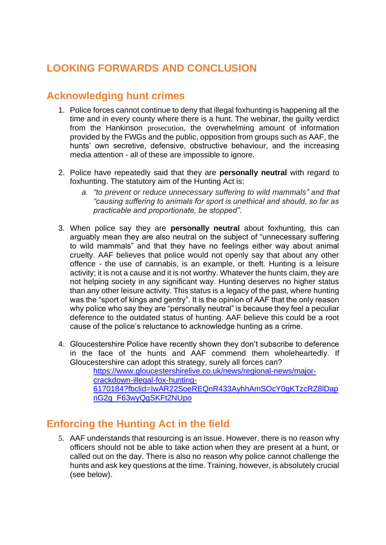# **LOOKING FORWARDS AND CONCLUSION**

### **Acknowledging hunt crimes**

- 1. Police forces cannot continue to deny that illegal foxhunting is happening all the time and in every county where there is a hunt. The webinar, the guilty verdict from the Hankinson prosecution, the overwhelming amount of information provided by the FWGs and the public, opposition from groups such as AAF, the hunts' own secretive, defensive, obstructive behaviour, and the increasing media attention - all of these are impossible to ignore.
- 2. Police have repeatedly said that they are **personally neutral** with regard to foxhunting. The statutory aim of the Hunting Act is:
	- *a. "to prevent or reduce unnecessary suffering to wild mammals" and that "causing suffering to animals for sport is unethical and should, so far as practicable and proportionate, be stopped".*
- 3. When police say they are **personally neutral** about foxhunting, this can arguably mean they are also neutral on the subject of "unnecessary suffering to wild mammals" and that they have no feelings either way about animal cruelty. AAF believes that police would not openly say that about any other offence - the use of cannabis, is an example, or theft. Hunting is a leisure activity; it is not a cause and it is not worthy. Whatever the hunts claim, they are not helping society in any significant way. Hunting deserves no higher status than any other leisure activity. This status is a legacy of the past, where hunting was the "sport of kings and gentry". It is the opinion of AAF that the only reason why police who say they are "personally neutral" is because they feel a peculiar deference to the outdated status of hunting. AAF believe this could be a root cause of the police's reluctance to acknowledge hunting as a crime.
- 4. Gloucestershire Police have recently shown they don't subscribe to deference in the face of the hunts and AAF commend them wholeheartedly. If Gloucestershire can adopt this strategy, surely all forces can? [https://www.gloucestershirelive.co.uk/news/regional-news/major](https://www.gloucestershirelive.co.uk/news/regional-news/major-crackdown-illegal-fox-hunting-6170184?fbclid=IwAR22SoeREQnR433AyhhAmSOcY0gKTzcRZ8lDapnG2g_F63wyQgSKFt2NUpo)[crackdown-illegal-fox-hunting-](https://www.gloucestershirelive.co.uk/news/regional-news/major-crackdown-illegal-fox-hunting-6170184?fbclid=IwAR22SoeREQnR433AyhhAmSOcY0gKTzcRZ8lDapnG2g_F63wyQgSKFt2NUpo)[6170184?fbclid=IwAR22SoeREQnR433AyhhAmSOcY0gKTzcRZ8lDap](https://www.gloucestershirelive.co.uk/news/regional-news/major-crackdown-illegal-fox-hunting-6170184?fbclid=IwAR22SoeREQnR433AyhhAmSOcY0gKTzcRZ8lDapnG2g_F63wyQgSKFt2NUpo)
	- [nG2g\\_F63wyQgSKFt2NUpo](https://www.gloucestershirelive.co.uk/news/regional-news/major-crackdown-illegal-fox-hunting-6170184?fbclid=IwAR22SoeREQnR433AyhhAmSOcY0gKTzcRZ8lDapnG2g_F63wyQgSKFt2NUpo)

## **Enforcing the Hunting Act in the field**

5. AAF understands that resourcing is an issue. However, there is no reason why officers should not be able to take action when they are present at a hunt, or called out on the day. There is also no reason why police cannot challenge the hunts and ask key questions at the time. Training, however, is absolutely crucial (see below).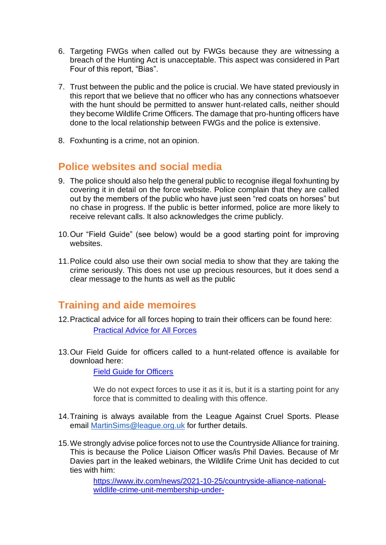- 6. Targeting FWGs when called out by FWGs because they are witnessing a breach of the Hunting Act is unacceptable. This aspect was considered in Part Four of this report, "Bias".
- 7. Trust between the public and the police is crucial. We have stated previously in this report that we believe that no officer who has any connections whatsoever with the hunt should be permitted to answer hunt-related calls, neither should they become Wildlife Crime Officers. The damage that pro-hunting officers have done to the local relationship between FWGs and the police is extensive.
- 8. Foxhunting is a crime, not an opinion.

## **Police websites and social media**

- 9. The police should also help the general public to recognise illegal foxhunting by covering it in detail on the force website. Police complain that they are called out by the members of the public who have just seen "red coats on horses" but no chase in progress. If the public is better informed, police are more likely to receive relevant calls. It also acknowledges the crime publicly.
- 10.Our "Field Guide" (see below) would be a good starting point for improving websites.
- 11.Police could also use their own social media to show that they are taking the crime seriously. This does not use up precious resources, but it does send a clear message to the hunts as well as the public

#### **Training and aide memoires**

- 12.Practical advice for all forces hoping to train their officers can be found here: [Practical Advice for All Forces](https://www.actionagainstfoxhunting.org/wp-content/uploads/2021/11/A-1411-Practical-Advice-for-all-Forces.pdf)
- 13.Our Field Guide for officers called to a hunt-related offence is available for download here:

[Field Guide for Officers](https://www.actionagainstfoxhunting.org/wp-content/uploads/2021/11/A-1411-FIELD-GUIDE-ILLEGAL-FOXHUNTING.pdf)

We do not expect forces to use it as it is, but it is a starting point for any force that is committed to dealing with this offence.

- 14.Training is always available from the League Against Cruel Sports. Please email [MartinSims@league.org.uk](mailto:MartinSims@league.org.uk) for further details.
- 15.We strongly advise police forces not to use the Countryside Alliance for training. This is because the Police Liaison Officer was/is Phil Davies. Because of Mr Davies part in the leaked webinars, the Wildlife Crime Unit has decided to cut ties with him:

[https://www.itv.com/news/2021-10-25/countryside-alliance-national](https://www.itv.com/news/2021-10-25/countryside-alliance-national-wildlife-crime-unit-membership-under-review?utm_source=Facebook&utm_medium=social&utm_campaign=Orlo&utm_content=Hankinson+)[wildlife-crime-unit-membership-under-](https://www.itv.com/news/2021-10-25/countryside-alliance-national-wildlife-crime-unit-membership-under-review?utm_source=Facebook&utm_medium=social&utm_campaign=Orlo&utm_content=Hankinson+)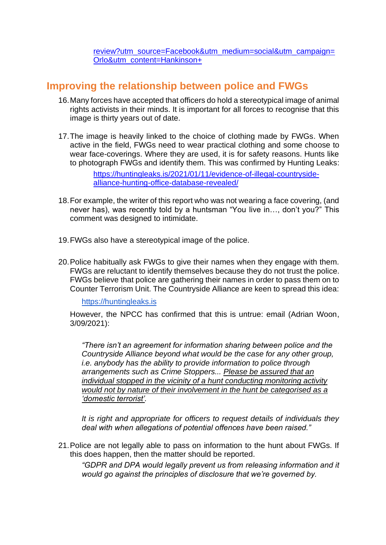[review?utm\\_source=Facebook&utm\\_medium=social&utm\\_campaign=](https://www.itv.com/news/2021-10-25/countryside-alliance-national-wildlife-crime-unit-membership-under-review?utm_source=Facebook&utm_medium=social&utm_campaign=Orlo&utm_content=Hankinson+) [Orlo&utm\\_content=Hankinson+](https://www.itv.com/news/2021-10-25/countryside-alliance-national-wildlife-crime-unit-membership-under-review?utm_source=Facebook&utm_medium=social&utm_campaign=Orlo&utm_content=Hankinson+)

### **Improving the relationship between police and FWGs**

- 16.Many forces have accepted that officers do hold a stereotypical image of animal rights activists in their minds. It is important for all forces to recognise that this image is thirty years out of date.
- 17.The image is heavily linked to the choice of clothing made by FWGs. When active in the field, FWGs need to wear practical clothing and some choose to wear face-coverings. Where they are used, it is for safety reasons. Hunts like to photograph FWGs and identify them. This was confirmed by Hunting Leaks:

[https://huntingleaks.is/2021/01/11/evidence-of-illegal-countryside](https://huntingleaks.is/2021/01/11/evidence-of-illegal-countryside-alliance-hunting-office-database-revealed/)[alliance-hunting-office-database-revealed/](https://huntingleaks.is/2021/01/11/evidence-of-illegal-countryside-alliance-hunting-office-database-revealed/)

- 18.For example, the writer of this report who was not wearing a face covering, (and never has), was recently told by a huntsman "You live in…, don't you?" This comment was designed to intimidate.
- 19.FWGs also have a stereotypical image of the police.
- 20.Police habitually ask FWGs to give their names when they engage with them. FWGs are reluctant to identify themselves because they do not trust the police. FWGs believe that police are gathering their names in order to pass them on to Counter Terrorism Unit. The Countryside Alliance are keen to spread this idea:

[https://huntingleaks.is](https://huntingleaks.is/)

However, the NPCC has confirmed that this is untrue: email (Adrian Woon, 3/09/2021):

*"There isn't an agreement for information sharing between police and the Countryside Alliance beyond what would be the case for any other group, i.e. anybody has the ability to provide information to police through arrangements such as Crime Stoppers... Please be assured that an individual stopped in the vicinity of a hunt conducting monitoring activity would not by nature of their involvement in the hunt be categorised as a 'domestic terrorist'.*

*It is right and appropriate for officers to request details of individuals they deal with when allegations of potential offences have been raised."*

21.Police are not legally able to pass on information to the hunt about FWGs. If this does happen, then the matter should be reported.

*"GDPR and DPA would legally prevent us from releasing information and it would go against the principles of disclosure that we're governed by.*